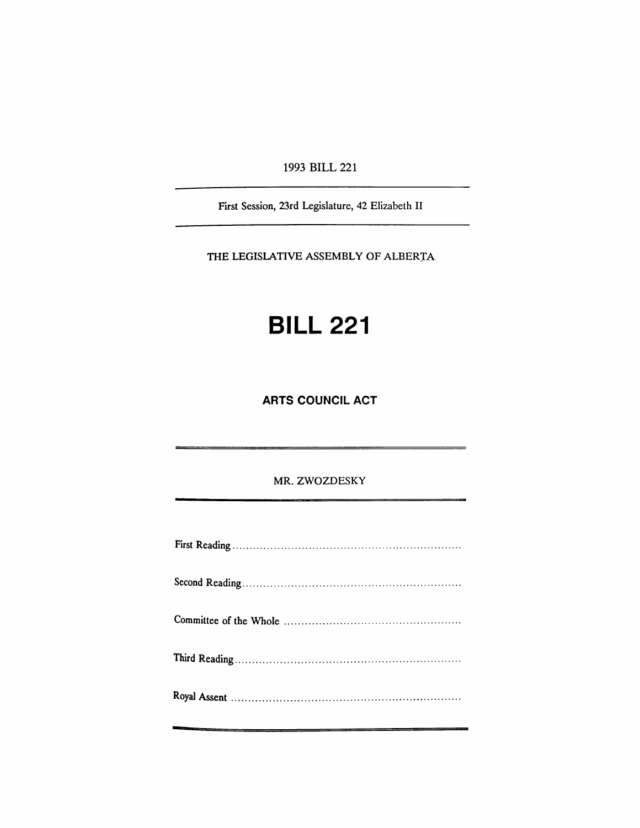1993 BILL 221

First Session, 23rd Legislature, 42 Elizabeth II

THE LEGISLATIVE ASSEMBLY OF ALBERTA.

## **BILL 221**

**ARTS COUNCIL ACT**

MR. ZWOZDESKY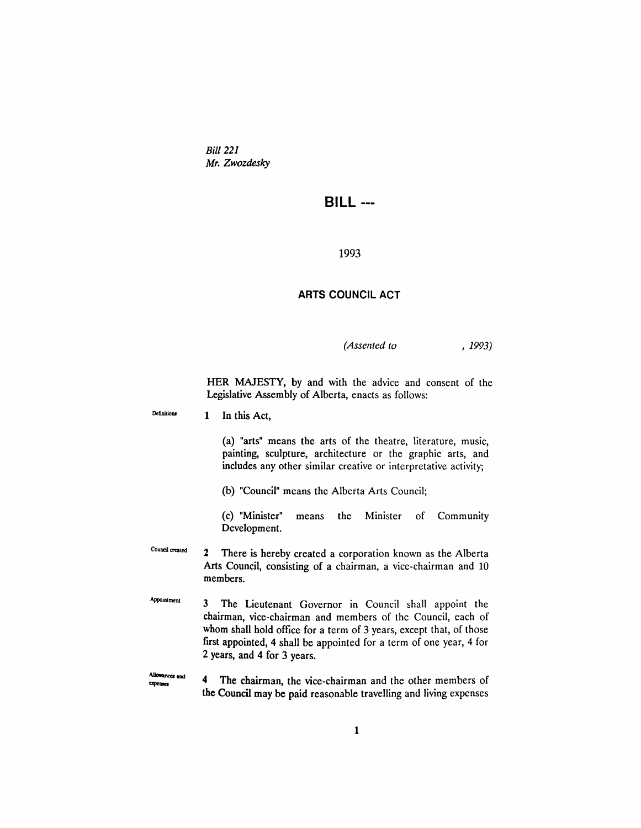*Bill 221 Mr. ZWDzdesky*

## **BILL ---**

## 1993

## **ARTS COUNCIL ACT**

*(Assented to* , 1993)

HER MAJESTY, by and with the advice and consent of the Legislative Assembly of Alberta, enacts as follows:

Definitions 1 In this Act,

> (a) "arts" means the arts of the theatre, literature, music, painting, sculpture, architecture or the graphic arts, and includes any other similar creative or interpretative activity;

(b) "Council" means the Alberta Arts Council;

(c) "Minister" means the Minister of Community Development.

Council created 2 There is hereby created a corporation known as the Alberta Arts Council, consisting of a chairman, a vice-chairman and 10 members.

**Appointment** 3 The Lieutenant Governor in Council shall appoint the chairman, vice-chairman and members of the Council, each of whom shall hold office for a term of 3 years, except that, of those first appointed, 4 shall be appointed for a term of one year, 4 for 2 years, and 4 for 3 years.

Allowances and 4 The chairman, the vice-chairman and the other members of **CODensee** the Council may be paid reasonable travelling and living expenses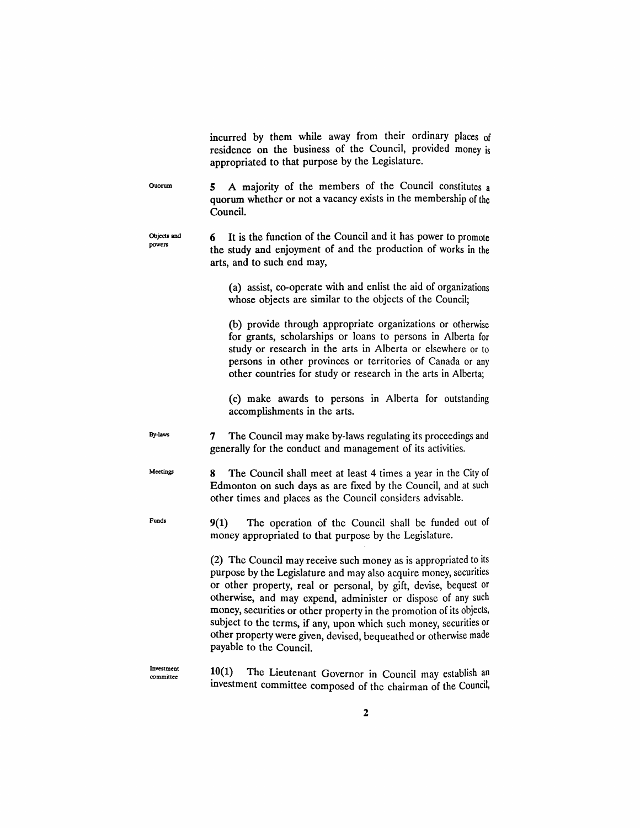Quorum Objects and powers By-Jaws Meelings Funds Investment committee incurred by them while away from their ordinary places of residence on the business of the Council, provided money is appropriated to that purpose by the Legislature. 5 A majority of the members of the Council constitutes a quorum whether or not a vacancy exists in the membership of the Council. 6 It is the function of the Council and it has power to promote the study and enjoyment of and the production of works in the arts, and to such end may, (a) assist, co-operate with and enlist the aid of organizations whose objects are similar to the objects of the Council; (b) provide through appropriate organizations or otherwise for grants, scholarships or loans to persons in Alberta for study or research in the arts in Alberta or elsewhere or to persons in other provinces or territories of Canada or any other countries for study or research in the arts in Alberta; (c) make awards to persons in Alberta for outstanding accomplishments in the arts. 7 The Council may make by-laws regulating its proceedings and generally for the conduct and management of its activities. 8 The Council shall meet at least 4 times a year in the City of Edmonton on such days as are fixed by the Council, and at such other times and places as the Council considers advisable. 9(1) The operation of the Council shall be funded out of money appropriated to that purpose by the Legislature. (2) The Council may receive such money as is appropriated to its purpose by the Legislature and may also acquire money, securities or other property, real or personal, by gift, devise, bequest or otherwise, and may expend, administer or dispose of any such money, securities or other property in the promotion of its objects, subject to the terms, if any, upon which such money, securities or other property were given, devised, bequeathed or otherwise made payable to the Council. 10(1) The Lieutenant Governor in Council may establish an investment committee composed of the chairman of the Council,